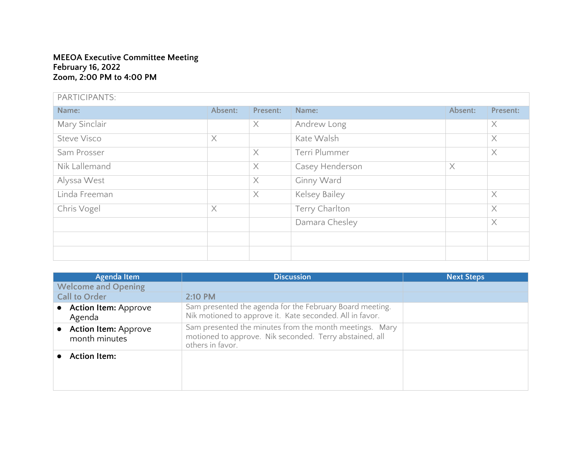## **MEEOA Executive Committee Meeting February 16, 2022 Zoom, 2:00 PM to 4:00 PM**

| PARTICIPANTS:      |          |          |                 |          |          |
|--------------------|----------|----------|-----------------|----------|----------|
| Name:              | Absent:  | Present: | Name:           | Absent:  | Present: |
| Mary Sinclair      |          | X        | Andrew Long     |          | $\times$ |
| <b>Steve Visco</b> | $\times$ |          | Kate Walsh      |          | $\times$ |
| Sam Prosser        |          | $\times$ | Terri Plummer   |          | $\times$ |
| Nik Lallemand      |          | $\times$ | Casey Henderson | $\times$ |          |
| Alyssa West        |          | $\times$ | Ginny Ward      |          |          |
| Linda Freeman      |          | $\times$ | Kelsey Bailey   |          | $\times$ |
| Chris Vogel        | $\times$ |          | Terry Charlton  |          | $\times$ |
|                    |          |          | Damara Chesley  |          | $\times$ |
|                    |          |          |                 |          |          |
|                    |          |          |                 |          |          |

| Agenda Item                                  | <b>Discussion</b>                                                                                                                      | <b>Next Steps</b> |
|----------------------------------------------|----------------------------------------------------------------------------------------------------------------------------------------|-------------------|
| <b>Welcome and Opening</b>                   |                                                                                                                                        |                   |
| <b>Call to Order</b>                         | $2:10 \text{ PM}$                                                                                                                      |                   |
| <b>Action Item: Approve</b><br>Agenda        | Sam presented the agenda for the February Board meeting.<br>Nik motioned to approve it. Kate seconded. All in favor.                   |                   |
| <b>Action Item: Approve</b><br>month minutes | Sam presented the minutes from the month meetings. Mary<br>motioned to approve. Nik seconded. Terry abstained, all<br>others in favor. |                   |
| <b>Action Item:</b>                          |                                                                                                                                        |                   |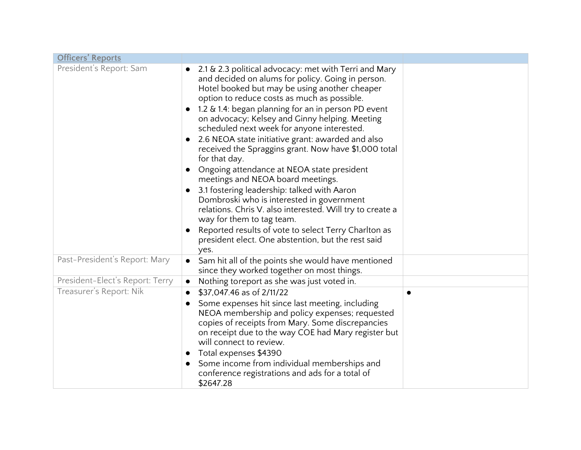| <b>Officers' Reports</b>        |                                                                                                                                                                                                                                                                                                                                                                                                                                                                                                                                                                                                                                                                                                                                                                                                                                                                                                                          |           |
|---------------------------------|--------------------------------------------------------------------------------------------------------------------------------------------------------------------------------------------------------------------------------------------------------------------------------------------------------------------------------------------------------------------------------------------------------------------------------------------------------------------------------------------------------------------------------------------------------------------------------------------------------------------------------------------------------------------------------------------------------------------------------------------------------------------------------------------------------------------------------------------------------------------------------------------------------------------------|-----------|
| President's Report: Sam         | 2.1 & 2.3 political advocacy: met with Terri and Mary<br>and decided on alums for policy. Going in person.<br>Hotel booked but may be using another cheaper<br>option to reduce costs as much as possible.<br>1.2 & 1.4: began planning for an in person PD event<br>$\bullet$<br>on advocacy; Kelsey and Ginny helping. Meeting<br>scheduled next week for anyone interested.<br>2.6 NEOA state initiative grant: awarded and also<br>received the Spraggins grant. Now have \$1,000 total<br>for that day.<br>Ongoing attendance at NEOA state president<br>meetings and NEOA board meetings.<br>3.1 fostering leadership: talked with Aaron<br>Dombroski who is interested in government<br>relations. Chris V. also interested. Will try to create a<br>way for them to tag team.<br>Reported results of vote to select Terry Charlton as<br>$\bullet$<br>president elect. One abstention, but the rest said<br>yes. |           |
| Past-President's Report: Mary   | Sam hit all of the points she would have mentioned<br>$\bullet$<br>since they worked together on most things.                                                                                                                                                                                                                                                                                                                                                                                                                                                                                                                                                                                                                                                                                                                                                                                                            |           |
| President-Elect's Report: Terry | Nothing toreport as she was just voted in.<br>$\bullet$                                                                                                                                                                                                                                                                                                                                                                                                                                                                                                                                                                                                                                                                                                                                                                                                                                                                  |           |
| Treasurer's Report: Nik         | \$37,047.46 as of 2/11/22<br>$\bullet$<br>Some expenses hit since last meeting, including<br>NEOA membership and policy expenses; requested<br>copies of receipts from Mary. Some discrepancies<br>on receipt due to the way COE had Mary register but<br>will connect to review.<br>Total expenses \$4390<br>Some income from individual memberships and<br>conference registrations and ads for a total of<br>\$2647.28                                                                                                                                                                                                                                                                                                                                                                                                                                                                                                | $\bullet$ |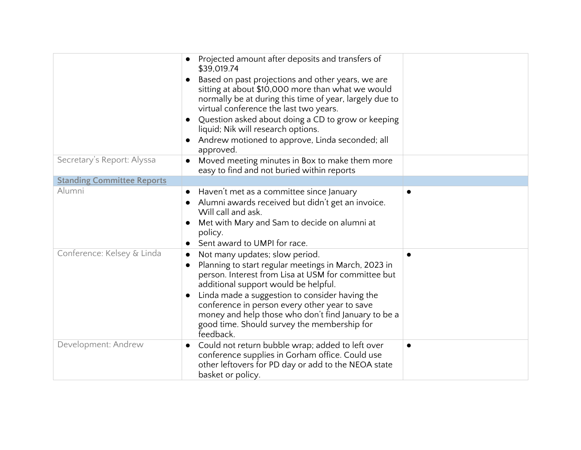|                                   | Projected amount after deposits and transfers of<br>\$39,019.74<br>Based on past projections and other years, we are<br>sitting at about \$10,000 more than what we would<br>normally be at during this time of year, largely due to<br>virtual conference the last two years.<br>Question asked about doing a CD to grow or keeping<br>liquid; Nik will research options.                                               |           |
|-----------------------------------|--------------------------------------------------------------------------------------------------------------------------------------------------------------------------------------------------------------------------------------------------------------------------------------------------------------------------------------------------------------------------------------------------------------------------|-----------|
|                                   | Andrew motioned to approve, Linda seconded; all<br>approved.                                                                                                                                                                                                                                                                                                                                                             |           |
| Secretary's Report: Alyssa        | Moved meeting minutes in Box to make them more<br>easy to find and not buried within reports                                                                                                                                                                                                                                                                                                                             |           |
| <b>Standing Committee Reports</b> |                                                                                                                                                                                                                                                                                                                                                                                                                          |           |
| Alumni                            | Haven't met as a committee since January<br>$\bullet$<br>Alumni awards received but didn't get an invoice.<br>Will call and ask.<br>Met with Mary and Sam to decide on alumni at<br>policy.<br>Sent award to UMPI for race.                                                                                                                                                                                              |           |
| Conference: Kelsey & Linda        | Not many updates; slow period.<br>$\bullet$<br>Planning to start regular meetings in March, 2023 in<br>person. Interest from Lisa at USM for committee but<br>additional support would be helpful.<br>Linda made a suggestion to consider having the<br>conference in person every other year to save<br>money and help those who don't find January to be a<br>good time. Should survey the membership for<br>feedback. |           |
| Development: Andrew               | Could not return bubble wrap; added to left over<br>$\bullet$<br>conference supplies in Gorham office. Could use<br>other leftovers for PD day or add to the NEOA state<br>basket or policy.                                                                                                                                                                                                                             | $\bullet$ |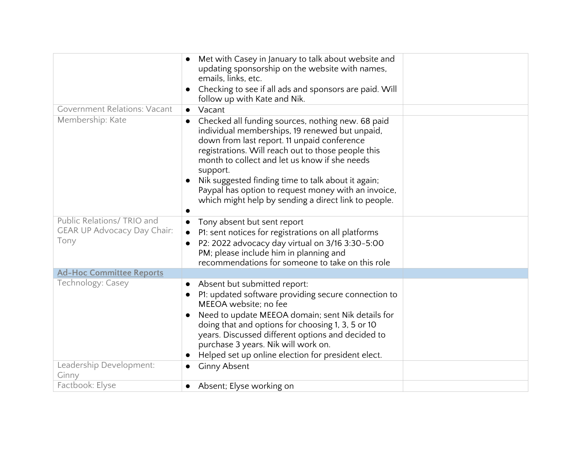|                                     | Met with Casey in January to talk about website and<br>updating sponsorship on the website with names,<br>emails, links, etc.<br>Checking to see if all ads and sponsors are paid. Will<br>follow up with Kate and Nik.                                                                                                                                                                                                                    |  |
|-------------------------------------|--------------------------------------------------------------------------------------------------------------------------------------------------------------------------------------------------------------------------------------------------------------------------------------------------------------------------------------------------------------------------------------------------------------------------------------------|--|
| <b>Government Relations: Vacant</b> | Vacant<br>$\bullet$                                                                                                                                                                                                                                                                                                                                                                                                                        |  |
| Membership: Kate                    | Checked all funding sources, nothing new. 68 paid<br>individual memberships, 19 renewed but unpaid,<br>down from last report. 11 unpaid conference<br>registrations. Will reach out to those people this<br>month to collect and let us know if she needs<br>support.<br>Nik suggested finding time to talk about it again;<br>Paypal has option to request money with an invoice,<br>which might help by sending a direct link to people. |  |
| Public Relations/TRIO and           | Tony absent but sent report<br>$\bullet$                                                                                                                                                                                                                                                                                                                                                                                                   |  |
| <b>GEAR UP Advocacy Day Chair:</b>  | P1: sent notices for registrations on all platforms                                                                                                                                                                                                                                                                                                                                                                                        |  |
| Tony                                | P2: 2022 advocacy day virtual on 3/16 3:30-5:00<br>PM; please include him in planning and<br>recommendations for someone to take on this role                                                                                                                                                                                                                                                                                              |  |
| <b>Ad-Hoc Committee Reports</b>     |                                                                                                                                                                                                                                                                                                                                                                                                                                            |  |
| Technology: Casey                   | Absent but submitted report:<br>P1: updated software providing secure connection to<br>MEEOA website; no fee<br>Need to update MEEOA domain; sent Nik details for<br>doing that and options for choosing 1, 3, 5 or 10<br>years. Discussed different options and decided to<br>purchase 3 years. Nik will work on.<br>Helped set up online election for president elect.                                                                   |  |
| Leadership Development:<br>Ginny    | <b>Ginny Absent</b><br>$\bullet$                                                                                                                                                                                                                                                                                                                                                                                                           |  |
| Factbook: Elyse                     | Absent; Elyse working on<br>$\bullet$                                                                                                                                                                                                                                                                                                                                                                                                      |  |
|                                     |                                                                                                                                                                                                                                                                                                                                                                                                                                            |  |